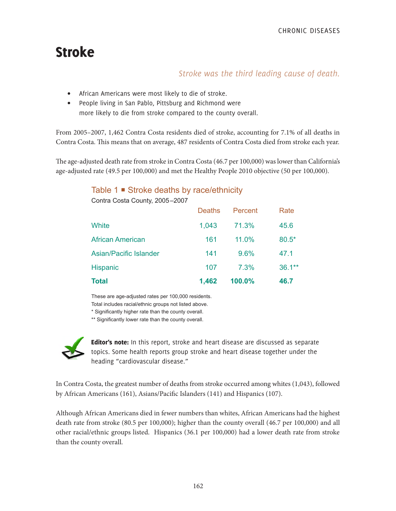# Stroke

# *Stroke was the third leading cause of death.*

- African Americans were most likely to die of stroke.
- People living in San Pablo, Pittsburg and Richmond were more likely to die from stroke compared to the county overall.

From 2005–2007, 1,462 Contra Costa residents died of stroke, accounting for 7.1% of all deaths in Contra Costa. This means that on average, 487 residents of Contra Costa died from stroke each year.

The age-adjusted death rate from stroke in Contra Costa (46.7 per 100,000) was lower than California's age-adjusted rate (49.5 per 100,000) and met the Healthy People 2010 objective (50 per 100,000).

## Table 1 **■** Stroke deaths by race/ethnicity

| <b>Total</b>                   | 1,462         | 100.0%  | 46.7      |
|--------------------------------|---------------|---------|-----------|
| Hispanic                       | 107           | 7.3%    | $36.1***$ |
| <b>Asian/Pacific Islander</b>  | 141           | 9.6%    | 47.1      |
| <b>African American</b>        | 161           | 11.0%   | 80.5*     |
| White                          | 1,043         | 71.3%   | 45.6      |
|                                | <b>Deaths</b> | Percent | Rate      |
| Contra Costa County, 2005-2007 |               |         |           |

These are age-adjusted rates per 100,000 residents.

Total includes racial/ethnic groups not listed above.

\* Significantly higher rate than the county overall.

\*\* Significantly lower rate than the county overall.



Editor's note: In this report, stroke and heart disease are discussed as separate topics. Some health reports group stroke and heart disease together under the heading "cardiovascular disease."

In Contra Costa, the greatest number of deaths from stroke occurred among whites (1,043), followed by African Americans (161), Asians/Pacific Islanders (141) and Hispanics (107).

Although African Americans died in fewer numbers than whites, African Americans had the highest death rate from stroke (80.5 per 100,000); higher than the county overall (46.7 per 100,000) and all other racial/ethnic groups listed. Hispanics (36.1 per 100,000) had a lower death rate from stroke than the county overall.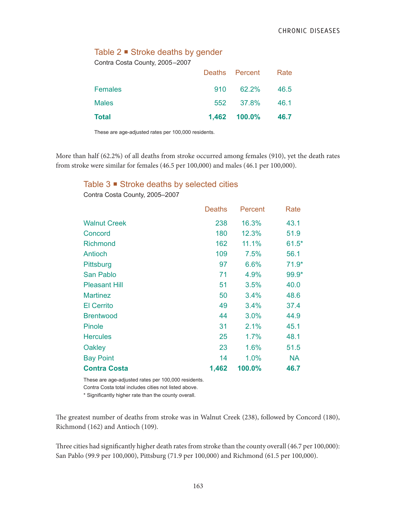## Table  $2 \blacktriangleright$  Stroke deaths by gender

Contra Costa County, 2005–2007

| Total          |     | 1,462 100.0% 46.7   |        |
|----------------|-----|---------------------|--------|
| <b>Males</b>   |     | 552 37.8%           | - 46.1 |
| <b>Females</b> | 910 | 62.2%               | -46.5  |
|                |     | Deaths Percent Rate |        |

These are age-adjusted rates per 100,000 residents.

More than half (62.2%) of all deaths from stroke occurred among females (910), yet the death rates from stroke were similar for females (46.5 per 100,000) and males (46.1 per 100,000).

## Table  $3 \blacksquare$  Stroke deaths by selected cities

| Contra Costa County, 2005-2007 |        |         |         |
|--------------------------------|--------|---------|---------|
|                                | Deaths | Percent | Rate    |
| <b>Walnut Creek</b>            | 238    | 16.3%   | 43.1    |
| Concord                        | 180    | 12.3%   | 51.9    |
| <b>Richmond</b>                | 162    | 11.1%   | $61.5*$ |
| Antioch                        | 109    | 7.5%    | 56.1    |
| Pittsburg                      | 97     | 6.6%    | $71.9*$ |
| San Pablo                      | 71     | 4.9%    | 99.9*   |
| <b>Pleasant Hill</b>           | 51     | 3.5%    | 40.0    |
| <b>Martinez</b>                | 50     | 3.4%    | 48.6    |
| <b>El Cerrito</b>              | 49     | 3.4%    | 37.4    |
| <b>Brentwood</b>               | 44     | 3.0%    | 44.9    |
| Pinole                         | 31     | 2.1%    | 45.1    |
| <b>Hercules</b>                | 25     | 1.7%    | 48.1    |

These are age-adjusted rates per 100,000 residents.

Contra Costa total includes cities not listed above.

\* Significantly higher rate than the county overall.

The greatest number of deaths from stroke was in Walnut Creek (238), followed by Concord (180), Richmond (162) and Antioch (109).

Oakley 23 1.6% 51.5 Bay Point 14 1.0% NA **Contra Costa 1,462 100.0% 46.7**

Three cities had significantly higher death rates from stroke than the county overall (46.7 per 100,000): San Pablo (99.9 per 100,000), Pittsburg (71.9 per 100,000) and Richmond (61.5 per 100,000).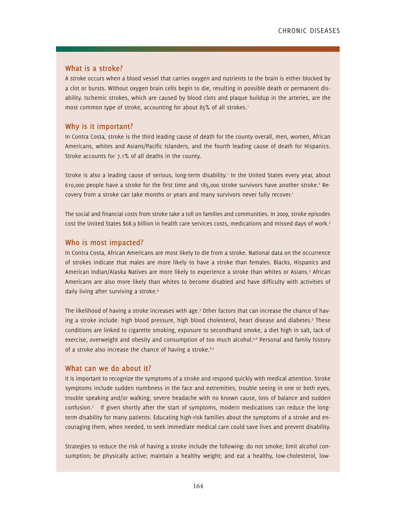#### **What is a stroke?**

A stroke occurs when a blood vessel that carries oxygen and nutrients to the brain is either blocked by a clot or bursts. Without oxygen brain cells begin to die, resulting in possible death or permanent disability. Ischemic strokes, which are caused by blood clots and plaque buildup in the arteries, are the most common type of stroke, accounting for about 85% of all strokes.<sup>1</sup>

#### **Why is it important?**

In Contra Costa, stroke is the third leading cause of death for the county overall, men, women, African Americans, whites and Asians/Pacific Islanders, and the fourth leading cause of death for Hispanics. Stroke accounts for 7.1% of all deaths in the county.

Stroke is also a leading cause of serious, long-term disability.' In the United States every year, about 610,000 people have a stroke for the first time and 185,000 stroke survivors have another stroke.<sup>2</sup> Recovery from a stroke can take months or years and many survivors never fully recover.<sup>1</sup>

The social and financial costs from stroke take a toll on families and communities. In 2009, stroke episodes cost the United States \$68.9 billion in health care services costs, medications and missed days of work.<sup>2</sup>

## **Who is most impacted?**

In Contra Costa, African Americans are most likely to die from a stroke. National data on the occurrence of strokes indicate that males are more likely to have a stroke than females. Blacks, Hispanics and American Indian/Alaska Natives are more likely to experience a stroke than whites or Asians.<sup>3</sup> African Americans are also more likely than whites to become disabled and have difficulty with activities of daily living after surviving a stroke.4

The likelihood of having a stroke increases with age.<sup>3</sup> Other factors that can increase the chance of having a stroke include: high blood pressure, high blood cholesterol, heart disease and diabetes.<sup>5</sup> These conditions are linked to cigarette smoking, exposure to secondhand smoke, a diet high in salt, lack of exercise, overweight and obesity and consumption of too much alcohol.<sup>5,6</sup> Personal and family history of a stroke also increase the chance of having a stroke.<sup>3,5</sup>

#### **What can we do about it?**

It is important to recognize the symptoms of a stroke and respond quickly with medical attention. Stroke symptoms include sudden numbness in the face and extremities, trouble seeing in one or both eyes, trouble speaking and/or walking, severe headache with no known cause, loss of balance and sudden confusion.7 If given shortly after the start of symptoms, modern medications can reduce the longterm disability for many patients. Educating high-risk families about the symptoms of a stroke and encouraging them, when needed, to seek immediate medical care could save lives and prevent disability.

Strategies to reduce the risk of having a stroke include the following: do not smoke; limit alcohol consumption; be physically active; maintain a healthy weight; and eat a healthy, low-cholesterol, low-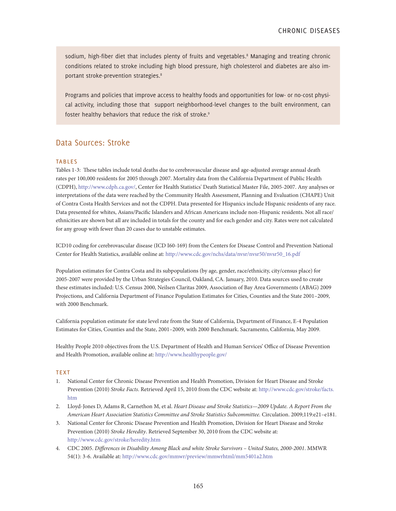sodium, high-fiber diet that includes plenty of fruits and vegetables.<sup>8</sup> Managing and treating chronic conditions related to stroke including high blood pressure, high cholesterol and diabetes are also important stroke-prevention strategies.<sup>8</sup>

Programs and policies that improve access to healthy foods and opportunities for low- or no-cost physical activity, including those that support neighborhood-level changes to the built environment, can foster healthy behaviors that reduce the risk of stroke.<sup>9</sup>

## Data Sources: Stroke

#### **TABLES**

Tables 1-3: These tables include total deaths due to cerebrovascular disease and age-adjusted average annual death rates per 100,000 residents for 2005 through 2007. Mortality data from the California Department of Public Health (CDPH), http://www.cdph.ca.gov/, Center for Health Statistics' Death Statistical Master File, 2005-2007. Any analyses or interpretations of the data were reached by the Community Health Assessment, Planning and Evaluation (CHAPE) Unit of Contra Costa Health Services and not the CDPH. Data presented for Hispanics include Hispanic residents of any race. Data presented for whites, Asians/Pacific Islanders and African Americans include non-Hispanic residents. Not all race/ ethnicities are shown but all are included in totals for the county and for each gender and city. Rates were not calculated for any group with fewer than 20 cases due to unstable estimates.

ICD10 coding for cerebrovascular disease (ICD I60-169) from the Centers for Disease Control and Prevention National Center for Health Statistics, available online at: http://www.cdc.gov/nchs/data/nvsr/nvsr50/nvsr50\_16.pdf

Population estimates for Contra Costa and its subpopulations (by age, gender, race/ethnicity, city/census place) for 2005-2007 were provided by the Urban Strategies Council, Oakland, CA. January, 2010. Data sources used to create these estimates included: U.S. Census 2000, Neilsen Claritas 2009, Association of Bay Area Governments (ABAG) 2009 Projections, and California Department of Finance Population Estimates for Cities, Counties and the State 2001–2009, with 2000 Benchmark.

California population estimate for state level rate from the State of California, Department of Finance, E-4 Population Estimates for Cities, Counties and the State, 2001–2009, with 2000 Benchmark. Sacramento, California, May 2009.

Healthy People 2010 objectives from the U.S. Department of Health and Human Services' Office of Disease Prevention and Health Promotion, available online at: http://www.healthypeople.gov/

#### **TEXT**

- 1. National Center for Chronic Disease Prevention and Health Promotion, Division for Heart Disease and Stroke Prevention (2010) *Stroke Facts*. Retrieved April 15, 2010 from the CDC website at: http://www.cdc.gov/stroke/facts. htm
- 2. Lloyd-Jones D, Adams R, Carnethon M, et al. *Heart Disease and Stroke Statistics—2009 Update. A Report From the American Heart Association Statistics Committee and Stroke Statistics Subcommittee.* Circulation. 2009;119:e21–e181.
- 3. National Center for Chronic Disease Prevention and Health Promotion, Division for Heart Disease and Stroke Prevention (2010) *Stroke Heredity*. Retrieved September 30, 2010 from the CDC website at: http://www.cdc.gov/stroke/heredity.htm
- 4. CDC 2005. *Differences in Disability Among Black and white Stroke Survivors United States, 2000-2001*. MMWR 54(1): 3-6. Available at: http://www.cdc.gov/mmwr/preview/mmwrhtml/mm5401a2.htm